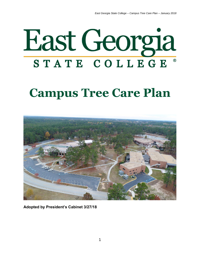

# **Campus Tree Care Plan**



**Adopted by President's Cabinet 3/27/18**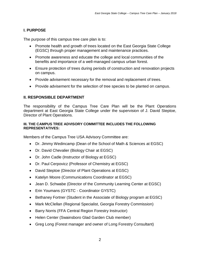# **I. PURPOSE**

The purpose of this campus tree care plan is to:

- Promote health and growth of trees located on the East Georgia State College (EGSC) through proper management and maintenance practices.
- Promote awareness and educate the college and local communities of the benefits and importance of a well-managed campus urban forest.
- Ensure protection of trees during periods of construction and renovation projects on campus.
- Provide advisement necessary for the removal and replacement of trees.
- Provide advisement for the selection of tree species to be planted on campus.

# **II. RESPONSIBLE DEPARTMENT**

The responsibility of the Campus Tree Care Plan will be the Plant Operations department at East Georgia State College under the supervision of J. David Steptoe, Director of Plant Operations.

#### **III. THE CAMPUS TREE ADVISORY COMMITTEE INCLUDES THE FOLLOWING REPRESENTATIVES:**

Members of the Campus Tree USA Advisory Committee are:

- Dr. Jimmy Wedincamp (Dean of the School of Math & Sciences at EGSC)
- Dr. David Chevalier (Biology Chair at EGSC)
- Dr. John Cadle (Instructor of Biology at EGSC)
- Dr. Paul Cerpovicz (Professor of Chemistry at EGSC)
- David Steptoe (Director of Plant Operations at EGSC)
- Katelyn Moore (Communications Coordinator at EGSC)
- Jean D. Schwabe (Director of the Community Learning Center at EGSC)
- Erin Youmans (GYSTC Coordinator GYSTC)
- Bethaney Fortner (Student in the Associate of Biology program at EGSC)
- Mark McClellan (Regional Specialist, Georgia Forestry Commission)
- Barry Norris (FFA Central Region Forestry Instructor)
- Helen Center (Swainsboro Glad Garden Club member)
- Greg Long (Forest manager and owner of Long Forestry Consultant)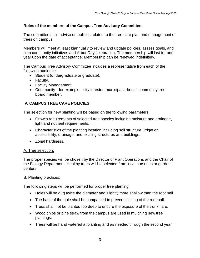# **Roles of the members of the Campus Tree Advisory Committee:**

The committee shall advise on policies related to the tree care plan and management of trees on campus.

Members will meet at least biannually to review and update policies, assess goals, and plan community initiatives and Arbor Day celebration. The membership will last for one year upon the date of acceptance. Membership can be renewed indefinitely.

The Campus Tree Advisory Committee includes a representative from each of the following audience:

- Student (undergraduate or graduate).
- Faculty.
- Facility Management.
- Community—for example—city forester, municipal arborist, community tree board member.

# **IV. CAMPUS TREE CARE POLICIES**

The selection for new planting will be based on the following parameters:

- Growth requirements of selected tree species including moisture and drainage, light and nutrient requirements.
- Characteristics of the planting location including soil structure, irrigation accessibility, drainage, and existing structures and buildings.
- Zonal hardiness.

#### A. Tree selection:

The proper species will be chosen by the Director of Plant Operations and the Chair of the Biology Department. Healthy trees will be selected from local nurseries or garden centers.

#### B. Planting practices:

The following steps will be performed for proper tree planting:

- Holes will be dug twice the diameter and slightly more shallow than the root ball.
- The base of the hole shall be compacted to prevent settling of the root ball.
- Trees shall not be planted too deep to ensure the exposure of the trunk flare.
- Wood chips or pine straw from the campus are used in mulching new tree plantings.
- Trees will be hand watered at planting and as needed through the second year.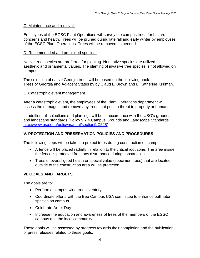#### C. Maintenance and removal:

Employees of the EGSC Plant Operations will survey the campus trees for hazard concerns and health. Trees will be pruned during late fall and early winter by employees of the EGSC Plant Operations. Trees will be removed as needed.

#### D. Recommended and prohibited species:

Native tree species are preferred for planting. Nonnative species are utilized for aesthetic and ornamental values. The planting of invasive tree species is not allowed on campus.

The selection of native Georgia trees will be based on the following book: Trees of Georgia and Adjacent States by by Claud L. Brown and L. Katherine Kirkman.

#### E. Catastrophic event management

After a catastrophic event, the employees of the Plant Operations department will assess the damages and remove any trees that pose a threat to property or humans.

In addition, all selections and plantings will be in accordance with the USG's grounds and landscape standards (Policy 9.7.4 Campus Grounds and Landscape Standards [http://www.usg.edu/policymanual/section9/C528\)](http://www.usg.edu/policymanual/section9/C528).

# **V. PROTECTION AND PRESERVATION POLICIES AND PROCEDURES**

The following steps will be taken to protect trees during construction on campus:

- A fence will be placed radially in relation to the critical root zone. The area inside the fence is protected from any disturbance during construction.
- Trees of overall good health or special value (specimen trees) that are located outside of the construction area will be protected

# **VI. GOALS AND TARGETS**

The goals are to:

- Perform a campus-wide tree inventory
- Coordinate efforts with the Bee Campus USA committee to enhance pollinator species on campus
- Celebrate Arbor Day
- Increase the education and awareness of trees of the members of the EGSC campus and the local community

These goals will be assessed by progress towards their completion and the publication of press releases related to these goals.